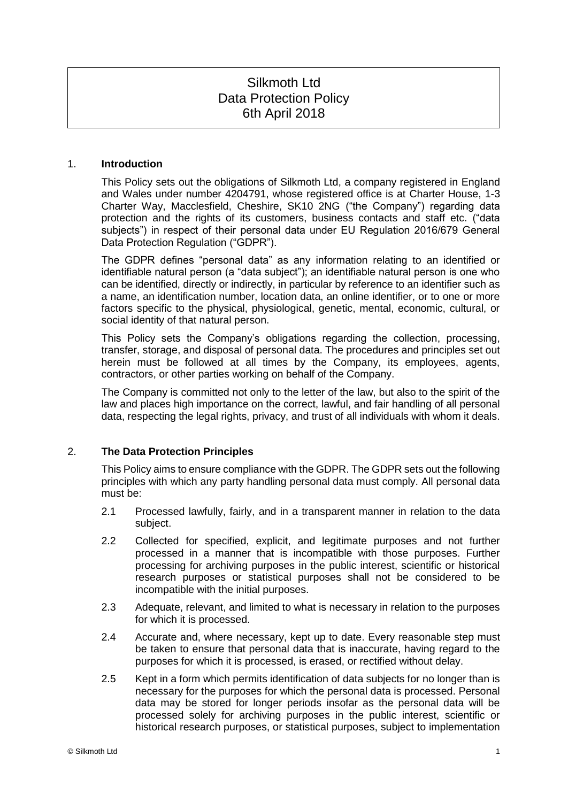# Silkmoth Ltd Data Protection Policy 6th April 2018

## 1. **Introduction**

This Policy sets out the obligations of Silkmoth Ltd, a company registered in England and Wales under number 4204791, whose registered office is at Charter House, 1-3 Charter Way, Macclesfield, Cheshire, SK10 2NG ("the Company") regarding data protection and the rights of its customers, business contacts and staff etc. ("data subjects") in respect of their personal data under EU Regulation 2016/679 General Data Protection Regulation ("GDPR").

The GDPR defines "personal data" as any information relating to an identified or identifiable natural person (a "data subject"); an identifiable natural person is one who can be identified, directly or indirectly, in particular by reference to an identifier such as a name, an identification number, location data, an online identifier, or to one or more factors specific to the physical, physiological, genetic, mental, economic, cultural, or social identity of that natural person.

This Policy sets the Company's obligations regarding the collection, processing, transfer, storage, and disposal of personal data. The procedures and principles set out herein must be followed at all times by the Company, its employees, agents, contractors, or other parties working on behalf of the Company.

The Company is committed not only to the letter of the law, but also to the spirit of the law and places high importance on the correct, lawful, and fair handling of all personal data, respecting the legal rights, privacy, and trust of all individuals with whom it deals.

# 2. **The Data Protection Principles**

This Policy aims to ensure compliance with the GDPR. The GDPR sets out the following principles with which any party handling personal data must comply. All personal data must be:

- 2.1 Processed lawfully, fairly, and in a transparent manner in relation to the data subject.
- 2.2 Collected for specified, explicit, and legitimate purposes and not further processed in a manner that is incompatible with those purposes. Further processing for archiving purposes in the public interest, scientific or historical research purposes or statistical purposes shall not be considered to be incompatible with the initial purposes.
- 2.3 Adequate, relevant, and limited to what is necessary in relation to the purposes for which it is processed.
- 2.4 Accurate and, where necessary, kept up to date. Every reasonable step must be taken to ensure that personal data that is inaccurate, having regard to the purposes for which it is processed, is erased, or rectified without delay.
- 2.5 Kept in a form which permits identification of data subjects for no longer than is necessary for the purposes for which the personal data is processed. Personal data may be stored for longer periods insofar as the personal data will be processed solely for archiving purposes in the public interest, scientific or historical research purposes, or statistical purposes, subject to implementation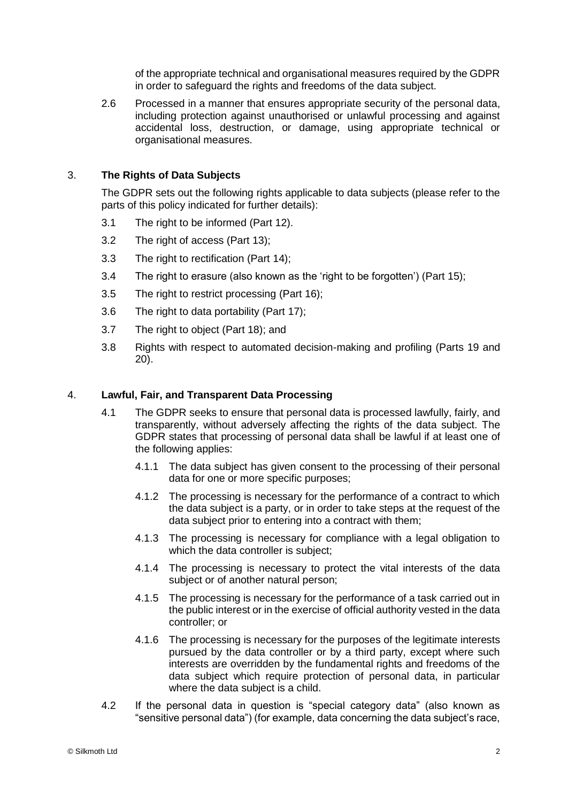of the appropriate technical and organisational measures required by the GDPR in order to safeguard the rights and freedoms of the data subject.

2.6 Processed in a manner that ensures appropriate security of the personal data, including protection against unauthorised or unlawful processing and against accidental loss, destruction, or damage, using appropriate technical or organisational measures.

# 3. **The Rights of Data Subjects**

The GDPR sets out the following rights applicable to data subjects (please refer to the parts of this policy indicated for further details):

- 3.1 The right to be informed (Part 12).
- 3.2 The right of access (Part 13);
- 3.3 The right to rectification (Part 14);
- 3.4 The right to erasure (also known as the 'right to be forgotten') (Part 15);
- 3.5 The right to restrict processing (Part 16);
- 3.6 The right to data portability (Part 17);
- 3.7 The right to object (Part 18); and
- 3.8 Rights with respect to automated decision-making and profiling (Parts 19 and 20).

## 4. **Lawful, Fair, and Transparent Data Processing**

- 4.1 The GDPR seeks to ensure that personal data is processed lawfully, fairly, and transparently, without adversely affecting the rights of the data subject. The GDPR states that processing of personal data shall be lawful if at least one of the following applies:
	- 4.1.1 The data subject has given consent to the processing of their personal data for one or more specific purposes;
	- 4.1.2 The processing is necessary for the performance of a contract to which the data subject is a party, or in order to take steps at the request of the data subject prior to entering into a contract with them;
	- 4.1.3 The processing is necessary for compliance with a legal obligation to which the data controller is subject:
	- 4.1.4 The processing is necessary to protect the vital interests of the data subject or of another natural person;
	- 4.1.5 The processing is necessary for the performance of a task carried out in the public interest or in the exercise of official authority vested in the data controller; or
	- 4.1.6 The processing is necessary for the purposes of the legitimate interests pursued by the data controller or by a third party, except where such interests are overridden by the fundamental rights and freedoms of the data subject which require protection of personal data, in particular where the data subject is a child.
- 4.2 If the personal data in question is "special category data" (also known as "sensitive personal data") (for example, data concerning the data subject's race,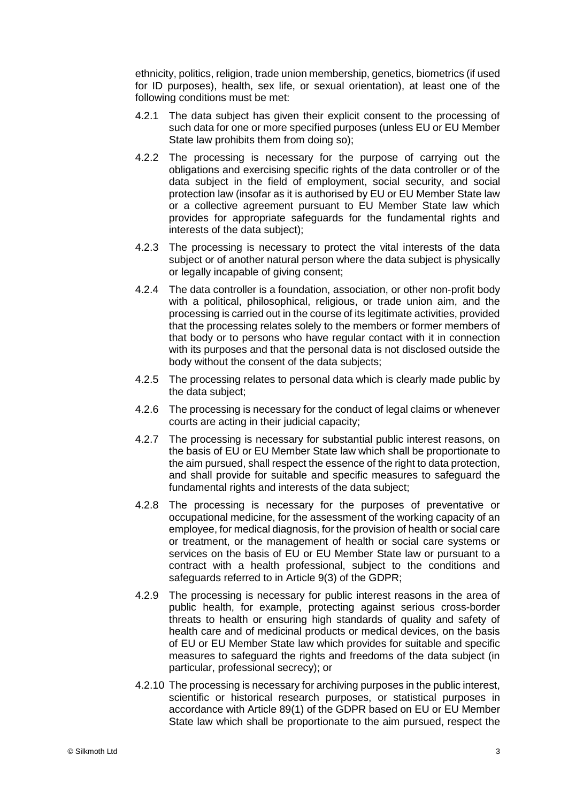ethnicity, politics, religion, trade union membership, genetics, biometrics (if used for ID purposes), health, sex life, or sexual orientation), at least one of the following conditions must be met:

- 4.2.1 The data subject has given their explicit consent to the processing of such data for one or more specified purposes (unless EU or EU Member State law prohibits them from doing so);
- 4.2.2 The processing is necessary for the purpose of carrying out the obligations and exercising specific rights of the data controller or of the data subject in the field of employment, social security, and social protection law (insofar as it is authorised by EU or EU Member State law or a collective agreement pursuant to EU Member State law which provides for appropriate safeguards for the fundamental rights and interests of the data subject);
- 4.2.3 The processing is necessary to protect the vital interests of the data subject or of another natural person where the data subject is physically or legally incapable of giving consent;
- 4.2.4 The data controller is a foundation, association, or other non-profit body with a political, philosophical, religious, or trade union aim, and the processing is carried out in the course of its legitimate activities, provided that the processing relates solely to the members or former members of that body or to persons who have regular contact with it in connection with its purposes and that the personal data is not disclosed outside the body without the consent of the data subjects;
- 4.2.5 The processing relates to personal data which is clearly made public by the data subject;
- 4.2.6 The processing is necessary for the conduct of legal claims or whenever courts are acting in their judicial capacity;
- 4.2.7 The processing is necessary for substantial public interest reasons, on the basis of EU or EU Member State law which shall be proportionate to the aim pursued, shall respect the essence of the right to data protection, and shall provide for suitable and specific measures to safeguard the fundamental rights and interests of the data subject:
- 4.2.8 The processing is necessary for the purposes of preventative or occupational medicine, for the assessment of the working capacity of an employee, for medical diagnosis, for the provision of health or social care or treatment, or the management of health or social care systems or services on the basis of EU or EU Member State law or pursuant to a contract with a health professional, subject to the conditions and safeguards referred to in Article 9(3) of the GDPR;
- 4.2.9 The processing is necessary for public interest reasons in the area of public health, for example, protecting against serious cross-border threats to health or ensuring high standards of quality and safety of health care and of medicinal products or medical devices, on the basis of EU or EU Member State law which provides for suitable and specific measures to safeguard the rights and freedoms of the data subject (in particular, professional secrecy); or
- 4.2.10 The processing is necessary for archiving purposes in the public interest, scientific or historical research purposes, or statistical purposes in accordance with Article 89(1) of the GDPR based on EU or EU Member State law which shall be proportionate to the aim pursued, respect the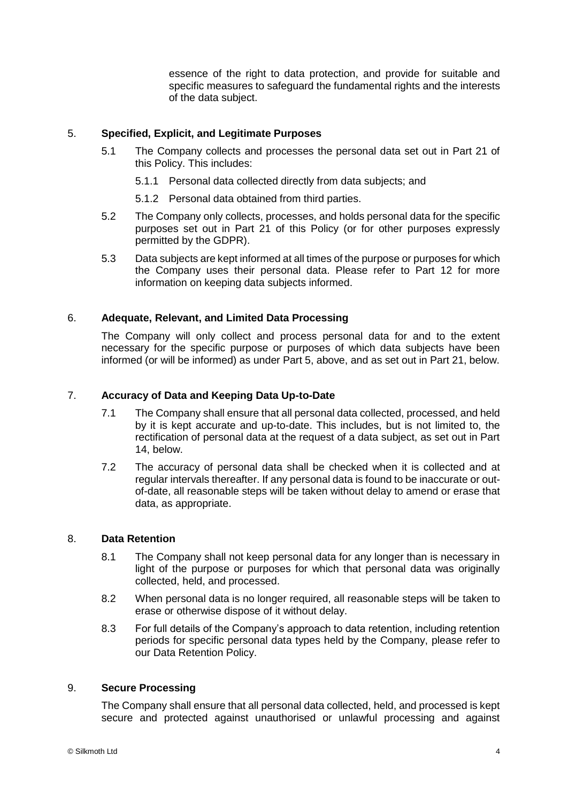essence of the right to data protection, and provide for suitable and specific measures to safeguard the fundamental rights and the interests of the data subject.

# 5. **Specified, Explicit, and Legitimate Purposes**

- 5.1 The Company collects and processes the personal data set out in Part 21 of this Policy. This includes:
	- 5.1.1 Personal data collected directly from data subjects; and
	- 5.1.2 Personal data obtained from third parties.
- 5.2 The Company only collects, processes, and holds personal data for the specific purposes set out in Part 21 of this Policy (or for other purposes expressly permitted by the GDPR).
- 5.3 Data subjects are kept informed at all times of the purpose or purposes for which the Company uses their personal data. Please refer to Part 12 for more information on keeping data subjects informed.

# 6. **Adequate, Relevant, and Limited Data Processing**

The Company will only collect and process personal data for and to the extent necessary for the specific purpose or purposes of which data subjects have been informed (or will be informed) as under Part 5, above, and as set out in Part 21, below.

# 7. **Accuracy of Data and Keeping Data Up-to-Date**

- 7.1 The Company shall ensure that all personal data collected, processed, and held by it is kept accurate and up-to-date. This includes, but is not limited to, the rectification of personal data at the request of a data subject, as set out in Part 14, below.
- 7.2 The accuracy of personal data shall be checked when it is collected and at regular intervals thereafter. If any personal data is found to be inaccurate or outof-date, all reasonable steps will be taken without delay to amend or erase that data, as appropriate.

## 8. **Data Retention**

- 8.1 The Company shall not keep personal data for any longer than is necessary in light of the purpose or purposes for which that personal data was originally collected, held, and processed.
- 8.2 When personal data is no longer required, all reasonable steps will be taken to erase or otherwise dispose of it without delay.
- 8.3 For full details of the Company's approach to data retention, including retention periods for specific personal data types held by the Company, please refer to our Data Retention Policy.

#### 9. **Secure Processing**

The Company shall ensure that all personal data collected, held, and processed is kept secure and protected against unauthorised or unlawful processing and against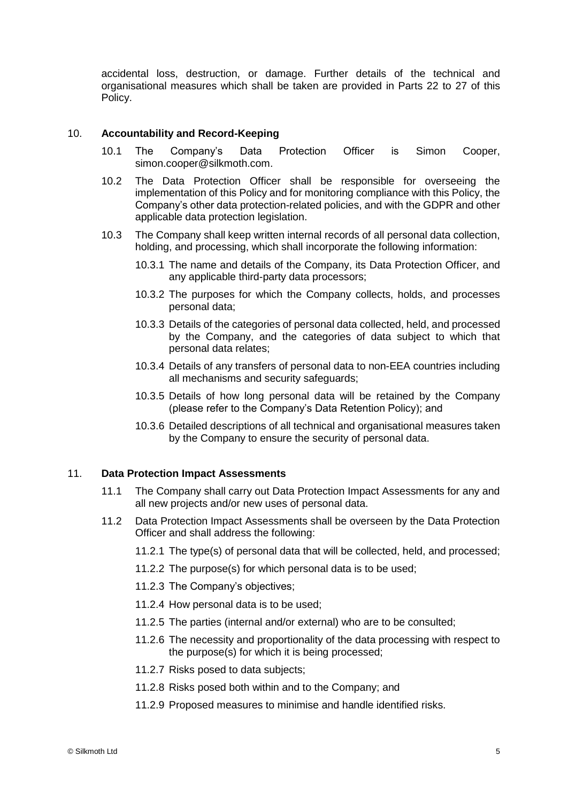accidental loss, destruction, or damage. Further details of the technical and organisational measures which shall be taken are provided in Parts 22 to 27 of this Policy.

#### 10. **Accountability and Record-Keeping**

- 10.1 The Company's Data Protection Officer is Simon Cooper, simon.cooper@silkmoth.com.
- 10.2 The Data Protection Officer shall be responsible for overseeing the implementation of this Policy and for monitoring compliance with this Policy, the Company's other data protection-related policies, and with the GDPR and other applicable data protection legislation.
- 10.3 The Company shall keep written internal records of all personal data collection, holding, and processing, which shall incorporate the following information:
	- 10.3.1 The name and details of the Company, its Data Protection Officer, and any applicable third-party data processors;
	- 10.3.2 The purposes for which the Company collects, holds, and processes personal data;
	- 10.3.3 Details of the categories of personal data collected, held, and processed by the Company, and the categories of data subject to which that personal data relates;
	- 10.3.4 Details of any transfers of personal data to non-EEA countries including all mechanisms and security safeguards;
	- 10.3.5 Details of how long personal data will be retained by the Company (please refer to the Company's Data Retention Policy); and
	- 10.3.6 Detailed descriptions of all technical and organisational measures taken by the Company to ensure the security of personal data.

#### 11. **Data Protection Impact Assessments**

- 11.1 The Company shall carry out Data Protection Impact Assessments for any and all new projects and/or new uses of personal data.
- 11.2 Data Protection Impact Assessments shall be overseen by the Data Protection Officer and shall address the following:
	- 11.2.1 The type(s) of personal data that will be collected, held, and processed;
	- 11.2.2 The purpose(s) for which personal data is to be used;
	- 11.2.3 The Company's objectives;
	- 11.2.4 How personal data is to be used;
	- 11.2.5 The parties (internal and/or external) who are to be consulted;
	- 11.2.6 The necessity and proportionality of the data processing with respect to the purpose(s) for which it is being processed;
	- 11.2.7 Risks posed to data subjects;
	- 11.2.8 Risks posed both within and to the Company; and
	- 11.2.9 Proposed measures to minimise and handle identified risks.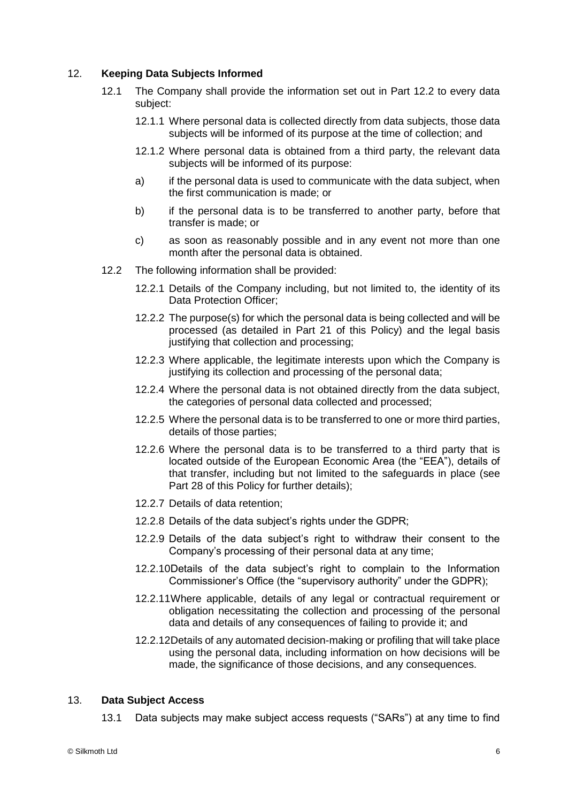# 12. **Keeping Data Subjects Informed**

- 12.1 The Company shall provide the information set out in Part 12.2 to every data subject:
	- 12.1.1 Where personal data is collected directly from data subjects, those data subjects will be informed of its purpose at the time of collection; and
	- 12.1.2 Where personal data is obtained from a third party, the relevant data subjects will be informed of its purpose:
	- a) if the personal data is used to communicate with the data subject, when the first communication is made; or
	- b) if the personal data is to be transferred to another party, before that transfer is made; or
	- c) as soon as reasonably possible and in any event not more than one month after the personal data is obtained.
- 12.2 The following information shall be provided:
	- 12.2.1 Details of the Company including, but not limited to, the identity of its Data Protection Officer;
	- 12.2.2 The purpose(s) for which the personal data is being collected and will be processed (as detailed in Part 21 of this Policy) and the legal basis justifying that collection and processing;
	- 12.2.3 Where applicable, the legitimate interests upon which the Company is justifying its collection and processing of the personal data;
	- 12.2.4 Where the personal data is not obtained directly from the data subject, the categories of personal data collected and processed;
	- 12.2.5 Where the personal data is to be transferred to one or more third parties, details of those parties;
	- 12.2.6 Where the personal data is to be transferred to a third party that is located outside of the European Economic Area (the "EEA"), details of that transfer, including but not limited to the safeguards in place (see Part 28 of this Policy for further details);
	- 12.2.7 Details of data retention;
	- 12.2.8 Details of the data subject's rights under the GDPR;
	- 12.2.9 Details of the data subject's right to withdraw their consent to the Company's processing of their personal data at any time;
	- 12.2.10Details of the data subject's right to complain to the Information Commissioner's Office (the "supervisory authority" under the GDPR);
	- 12.2.11Where applicable, details of any legal or contractual requirement or obligation necessitating the collection and processing of the personal data and details of any consequences of failing to provide it; and
	- 12.2.12Details of any automated decision-making or profiling that will take place using the personal data, including information on how decisions will be made, the significance of those decisions, and any consequences.

## 13. **Data Subject Access**

13.1 Data subjects may make subject access requests ("SARs") at any time to find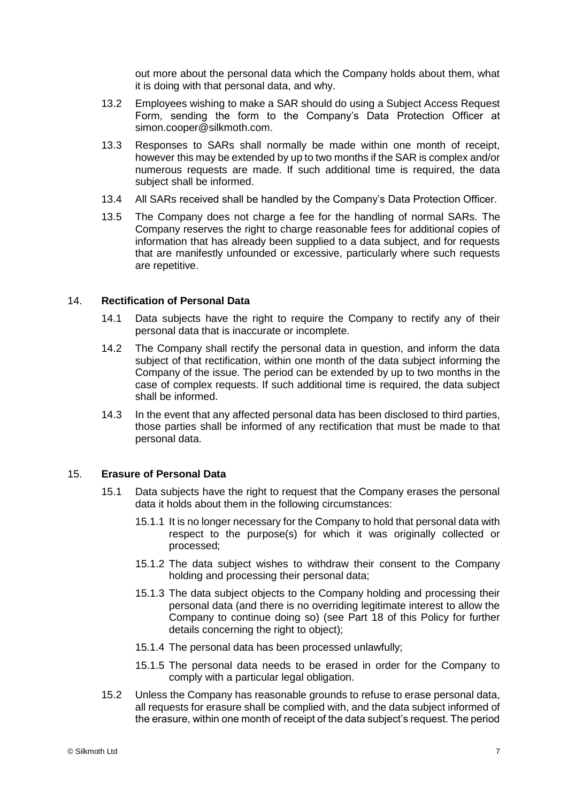out more about the personal data which the Company holds about them, what it is doing with that personal data, and why.

- 13.2 Employees wishing to make a SAR should do using a Subject Access Request Form, sending the form to the Company's Data Protection Officer at simon.cooper@silkmoth.com.
- 13.3 Responses to SARs shall normally be made within one month of receipt, however this may be extended by up to two months if the SAR is complex and/or numerous requests are made. If such additional time is required, the data subject shall be informed.
- 13.4 All SARs received shall be handled by the Company's Data Protection Officer.
- 13.5 The Company does not charge a fee for the handling of normal SARs. The Company reserves the right to charge reasonable fees for additional copies of information that has already been supplied to a data subject, and for requests that are manifestly unfounded or excessive, particularly where such requests are repetitive.

#### 14. **Rectification of Personal Data**

- 14.1 Data subjects have the right to require the Company to rectify any of their personal data that is inaccurate or incomplete.
- 14.2 The Company shall rectify the personal data in question, and inform the data subject of that rectification, within one month of the data subject informing the Company of the issue. The period can be extended by up to two months in the case of complex requests. If such additional time is required, the data subject shall be informed.
- 14.3 In the event that any affected personal data has been disclosed to third parties, those parties shall be informed of any rectification that must be made to that personal data.

## 15. **Erasure of Personal Data**

- 15.1 Data subjects have the right to request that the Company erases the personal data it holds about them in the following circumstances:
	- 15.1.1 It is no longer necessary for the Company to hold that personal data with respect to the purpose(s) for which it was originally collected or processed;
	- 15.1.2 The data subject wishes to withdraw their consent to the Company holding and processing their personal data;
	- 15.1.3 The data subject objects to the Company holding and processing their personal data (and there is no overriding legitimate interest to allow the Company to continue doing so) (see Part 18 of this Policy for further details concerning the right to object);
	- 15.1.4 The personal data has been processed unlawfully;
	- 15.1.5 The personal data needs to be erased in order for the Company to comply with a particular legal obligation.
- 15.2 Unless the Company has reasonable grounds to refuse to erase personal data, all requests for erasure shall be complied with, and the data subject informed of the erasure, within one month of receipt of the data subject's request. The period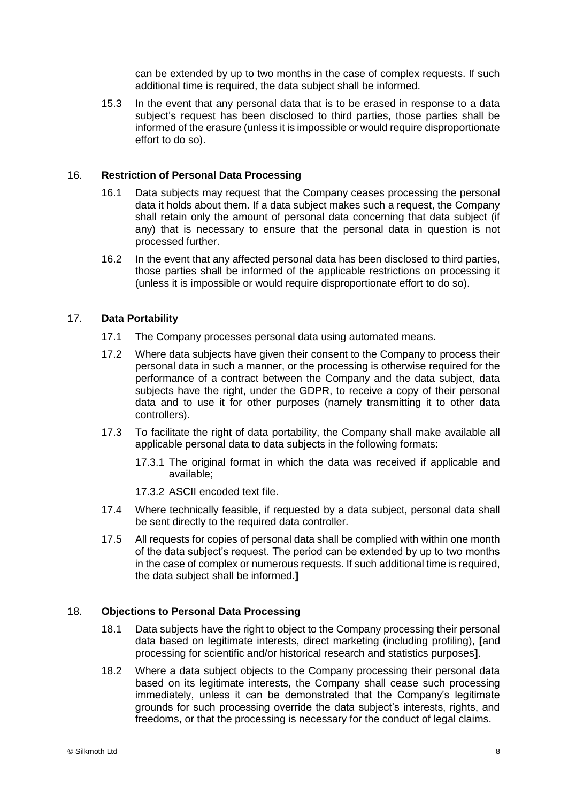can be extended by up to two months in the case of complex requests. If such additional time is required, the data subject shall be informed.

15.3 In the event that any personal data that is to be erased in response to a data subject's request has been disclosed to third parties, those parties shall be informed of the erasure (unless it is impossible or would require disproportionate effort to do so).

## 16. **Restriction of Personal Data Processing**

- 16.1 Data subjects may request that the Company ceases processing the personal data it holds about them. If a data subject makes such a request, the Company shall retain only the amount of personal data concerning that data subject (if any) that is necessary to ensure that the personal data in question is not processed further.
- 16.2 In the event that any affected personal data has been disclosed to third parties, those parties shall be informed of the applicable restrictions on processing it (unless it is impossible or would require disproportionate effort to do so).

## 17. **Data Portability**

- 17.1 The Company processes personal data using automated means.
- 17.2 Where data subjects have given their consent to the Company to process their personal data in such a manner, or the processing is otherwise required for the performance of a contract between the Company and the data subject, data subjects have the right, under the GDPR, to receive a copy of their personal data and to use it for other purposes (namely transmitting it to other data controllers).
- 17.3 To facilitate the right of data portability, the Company shall make available all applicable personal data to data subjects in the following formats:
	- 17.3.1 The original format in which the data was received if applicable and available;
	- 17.3.2 ASCII encoded text file.
- 17.4 Where technically feasible, if requested by a data subject, personal data shall be sent directly to the required data controller.
- 17.5 All requests for copies of personal data shall be complied with within one month of the data subject's request. The period can be extended by up to two months in the case of complex or numerous requests. If such additional time is required, the data subject shall be informed.**]**

## 18. **Objections to Personal Data Processing**

- 18.1 Data subjects have the right to object to the Company processing their personal data based on legitimate interests, direct marketing (including profiling), **[**and processing for scientific and/or historical research and statistics purposes**]**.
- 18.2 Where a data subject objects to the Company processing their personal data based on its legitimate interests, the Company shall cease such processing immediately, unless it can be demonstrated that the Company's legitimate grounds for such processing override the data subject's interests, rights, and freedoms, or that the processing is necessary for the conduct of legal claims.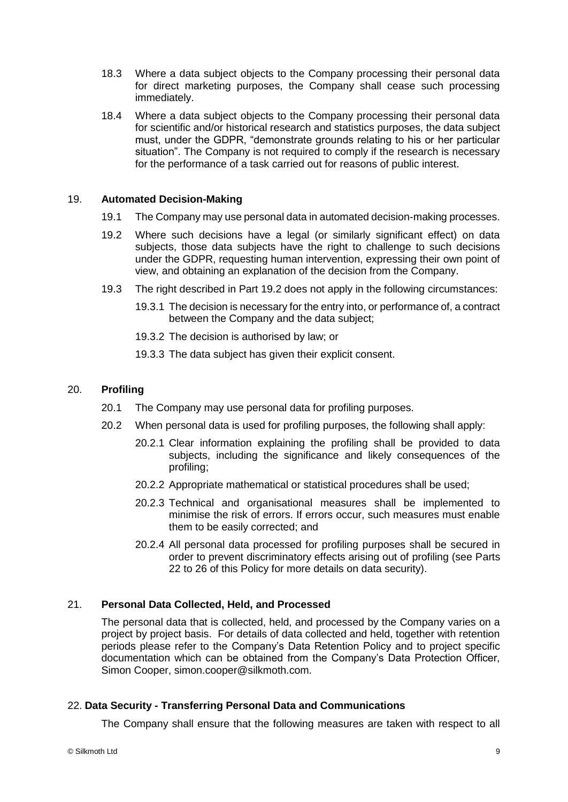- 18.3 Where a data subject objects to the Company processing their personal data for direct marketing purposes, the Company shall cease such processing immediately.
- 18.4 Where a data subject objects to the Company processing their personal data for scientific and/or historical research and statistics purposes, the data subject must, under the GDPR, "demonstrate grounds relating to his or her particular situation". The Company is not required to comply if the research is necessary for the performance of a task carried out for reasons of public interest.

## 19. **Automated Decision-Making**

- 19.1 The Company may use personal data in automated decision-making processes.
- 19.2 Where such decisions have a legal (or similarly significant effect) on data subjects, those data subjects have the right to challenge to such decisions under the GDPR, requesting human intervention, expressing their own point of view, and obtaining an explanation of the decision from the Company.
- 19.3 The right described in Part 19.2 does not apply in the following circumstances:
	- 19.3.1 The decision is necessary for the entry into, or performance of, a contract between the Company and the data subject;
	- 19.3.2 The decision is authorised by law; or
	- 19.3.3 The data subject has given their explicit consent.

# 20. **Profiling**

- 20.1 The Company may use personal data for profiling purposes.
- 20.2 When personal data is used for profiling purposes, the following shall apply:
	- 20.2.1 Clear information explaining the profiling shall be provided to data subjects, including the significance and likely consequences of the profiling;
	- 20.2.2 Appropriate mathematical or statistical procedures shall be used;
	- 20.2.3 Technical and organisational measures shall be implemented to minimise the risk of errors. If errors occur, such measures must enable them to be easily corrected; and
	- 20.2.4 All personal data processed for profiling purposes shall be secured in order to prevent discriminatory effects arising out of profiling (see Parts 22 to 26 of this Policy for more details on data security).

# 21. **Personal Data Collected, Held, and Processed**

The personal data that is collected, held, and processed by the Company varies on a project by project basis. For details of data collected and held, together with retention periods please refer to the Company's Data Retention Policy and to project specific documentation which can be obtained from the Company's Data Protection Officer, Simon Cooper, simon.cooper@silkmoth.com.

# 22. **Data Security - Transferring Personal Data and Communications**

The Company shall ensure that the following measures are taken with respect to all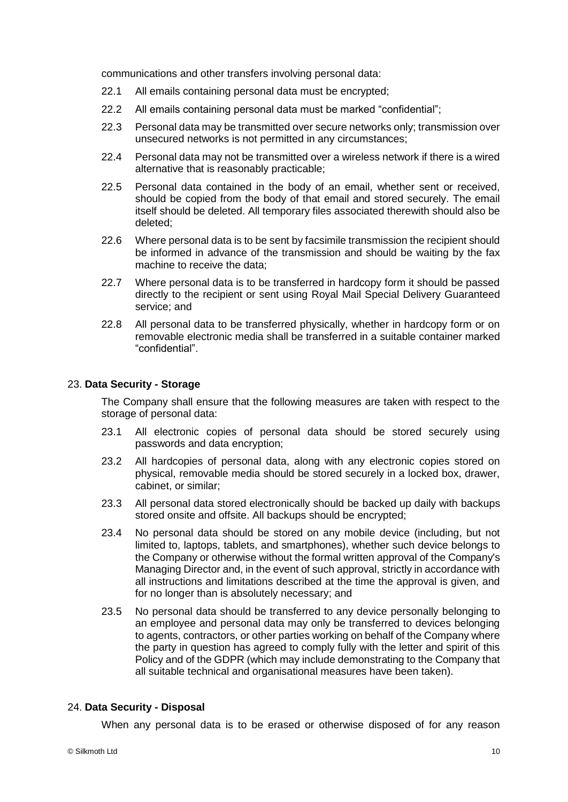communications and other transfers involving personal data:

- 22.1 All emails containing personal data must be encrypted;
- 22.2 All emails containing personal data must be marked "confidential";
- 22.3 Personal data may be transmitted over secure networks only; transmission over unsecured networks is not permitted in any circumstances;
- 22.4 Personal data may not be transmitted over a wireless network if there is a wired alternative that is reasonably practicable;
- 22.5 Personal data contained in the body of an email, whether sent or received, should be copied from the body of that email and stored securely. The email itself should be deleted. All temporary files associated therewith should also be deleted;
- 22.6 Where personal data is to be sent by facsimile transmission the recipient should be informed in advance of the transmission and should be waiting by the fax machine to receive the data;
- 22.7 Where personal data is to be transferred in hardcopy form it should be passed directly to the recipient or sent using Royal Mail Special Delivery Guaranteed service; and
- 22.8 All personal data to be transferred physically, whether in hardcopy form or on removable electronic media shall be transferred in a suitable container marked "confidential".

#### 23. **Data Security - Storage**

The Company shall ensure that the following measures are taken with respect to the storage of personal data:

- 23.1 All electronic copies of personal data should be stored securely using passwords and data encryption;
- 23.2 All hardcopies of personal data, along with any electronic copies stored on physical, removable media should be stored securely in a locked box, drawer, cabinet, or similar;
- 23.3 All personal data stored electronically should be backed up daily with backups stored onsite and offsite. All backups should be encrypted;
- 23.4 No personal data should be stored on any mobile device (including, but not limited to, laptops, tablets, and smartphones), whether such device belongs to the Company or otherwise without the formal written approval of the Company's Managing Director and, in the event of such approval, strictly in accordance with all instructions and limitations described at the time the approval is given, and for no longer than is absolutely necessary; and
- 23.5 No personal data should be transferred to any device personally belonging to an employee and personal data may only be transferred to devices belonging to agents, contractors, or other parties working on behalf of the Company where the party in question has agreed to comply fully with the letter and spirit of this Policy and of the GDPR (which may include demonstrating to the Company that all suitable technical and organisational measures have been taken).

# 24. **Data Security - Disposal**

When any personal data is to be erased or otherwise disposed of for any reason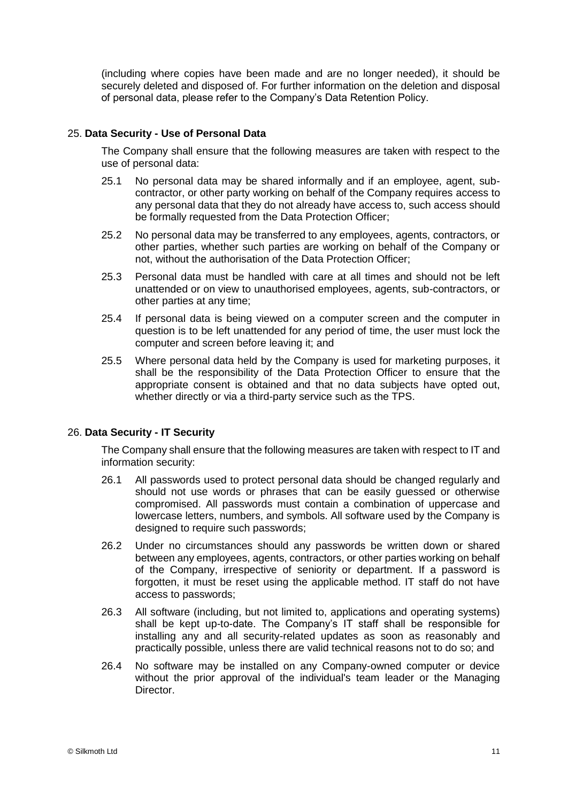(including where copies have been made and are no longer needed), it should be securely deleted and disposed of. For further information on the deletion and disposal of personal data, please refer to the Company's Data Retention Policy.

## 25. **Data Security - Use of Personal Data**

The Company shall ensure that the following measures are taken with respect to the use of personal data:

- 25.1 No personal data may be shared informally and if an employee, agent, subcontractor, or other party working on behalf of the Company requires access to any personal data that they do not already have access to, such access should be formally requested from the Data Protection Officer;
- 25.2 No personal data may be transferred to any employees, agents, contractors, or other parties, whether such parties are working on behalf of the Company or not, without the authorisation of the Data Protection Officer;
- 25.3 Personal data must be handled with care at all times and should not be left unattended or on view to unauthorised employees, agents, sub-contractors, or other parties at any time;
- 25.4 If personal data is being viewed on a computer screen and the computer in question is to be left unattended for any period of time, the user must lock the computer and screen before leaving it; and
- 25.5 Where personal data held by the Company is used for marketing purposes, it shall be the responsibility of the Data Protection Officer to ensure that the appropriate consent is obtained and that no data subjects have opted out, whether directly or via a third-party service such as the TPS.

### 26. **Data Security - IT Security**

The Company shall ensure that the following measures are taken with respect to IT and information security:

- 26.1 All passwords used to protect personal data should be changed regularly and should not use words or phrases that can be easily guessed or otherwise compromised. All passwords must contain a combination of uppercase and lowercase letters, numbers, and symbols. All software used by the Company is designed to require such passwords;
- 26.2 Under no circumstances should any passwords be written down or shared between any employees, agents, contractors, or other parties working on behalf of the Company, irrespective of seniority or department. If a password is forgotten, it must be reset using the applicable method. IT staff do not have access to passwords;
- 26.3 All software (including, but not limited to, applications and operating systems) shall be kept up-to-date. The Company's IT staff shall be responsible for installing any and all security-related updates as soon as reasonably and practically possible, unless there are valid technical reasons not to do so; and
- 26.4 No software may be installed on any Company-owned computer or device without the prior approval of the individual's team leader or the Managing Director.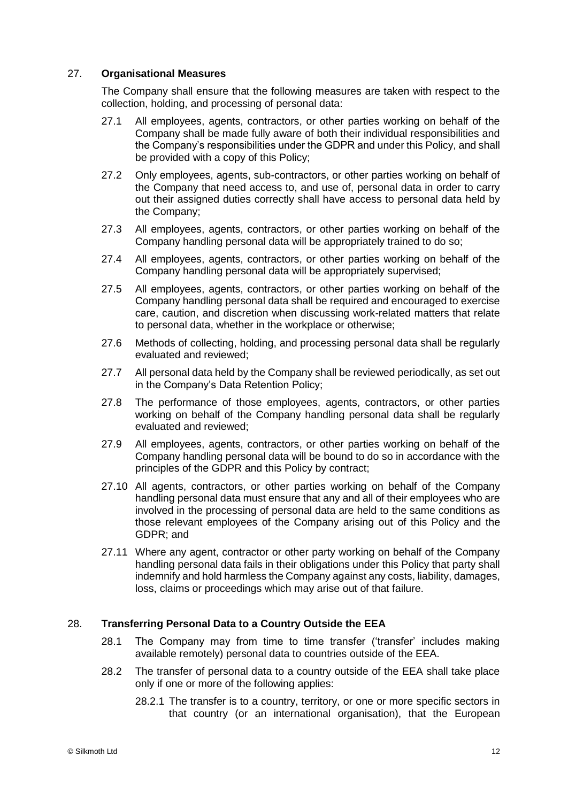## 27. **Organisational Measures**

The Company shall ensure that the following measures are taken with respect to the collection, holding, and processing of personal data:

- 27.1 All employees, agents, contractors, or other parties working on behalf of the Company shall be made fully aware of both their individual responsibilities and the Company's responsibilities under the GDPR and under this Policy, and shall be provided with a copy of this Policy;
- 27.2 Only employees, agents, sub-contractors, or other parties working on behalf of the Company that need access to, and use of, personal data in order to carry out their assigned duties correctly shall have access to personal data held by the Company;
- 27.3 All employees, agents, contractors, or other parties working on behalf of the Company handling personal data will be appropriately trained to do so;
- 27.4 All employees, agents, contractors, or other parties working on behalf of the Company handling personal data will be appropriately supervised;
- 27.5 All employees, agents, contractors, or other parties working on behalf of the Company handling personal data shall be required and encouraged to exercise care, caution, and discretion when discussing work-related matters that relate to personal data, whether in the workplace or otherwise;
- 27.6 Methods of collecting, holding, and processing personal data shall be regularly evaluated and reviewed;
- 27.7 All personal data held by the Company shall be reviewed periodically, as set out in the Company's Data Retention Policy;
- 27.8 The performance of those employees, agents, contractors, or other parties working on behalf of the Company handling personal data shall be regularly evaluated and reviewed;
- 27.9 All employees, agents, contractors, or other parties working on behalf of the Company handling personal data will be bound to do so in accordance with the principles of the GDPR and this Policy by contract;
- 27.10 All agents, contractors, or other parties working on behalf of the Company handling personal data must ensure that any and all of their employees who are involved in the processing of personal data are held to the same conditions as those relevant employees of the Company arising out of this Policy and the GDPR; and
- 27.11 Where any agent, contractor or other party working on behalf of the Company handling personal data fails in their obligations under this Policy that party shall indemnify and hold harmless the Company against any costs, liability, damages, loss, claims or proceedings which may arise out of that failure.

#### 28. **Transferring Personal Data to a Country Outside the EEA**

- 28.1 The Company may from time to time transfer ('transfer' includes making available remotely) personal data to countries outside of the EEA.
- 28.2 The transfer of personal data to a country outside of the EEA shall take place only if one or more of the following applies:
	- 28.2.1 The transfer is to a country, territory, or one or more specific sectors in that country (or an international organisation), that the European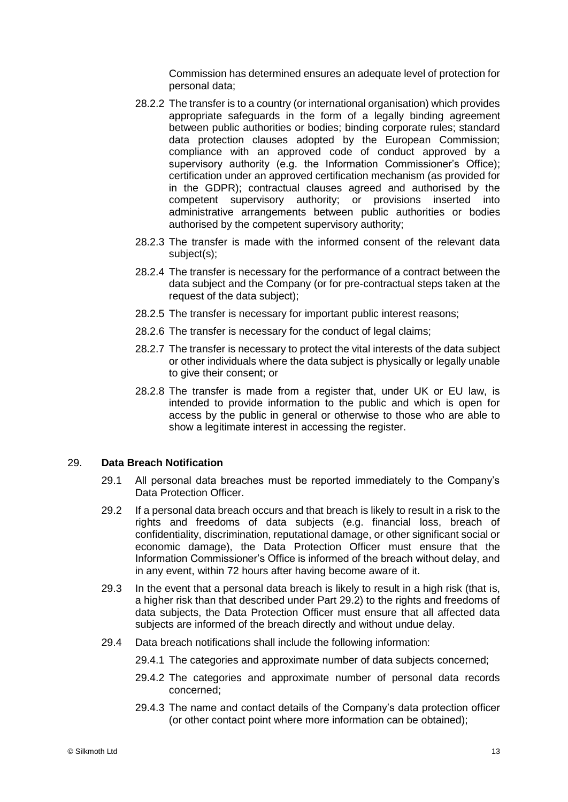Commission has determined ensures an adequate level of protection for personal data;

- 28.2.2 The transfer is to a country (or international organisation) which provides appropriate safeguards in the form of a legally binding agreement between public authorities or bodies; binding corporate rules; standard data protection clauses adopted by the European Commission; compliance with an approved code of conduct approved by a supervisory authority (e.g. the Information Commissioner's Office); certification under an approved certification mechanism (as provided for in the GDPR); contractual clauses agreed and authorised by the competent supervisory authority; or provisions inserted into administrative arrangements between public authorities or bodies authorised by the competent supervisory authority;
- 28.2.3 The transfer is made with the informed consent of the relevant data subject(s);
- 28.2.4 The transfer is necessary for the performance of a contract between the data subject and the Company (or for pre-contractual steps taken at the request of the data subject);
- 28.2.5 The transfer is necessary for important public interest reasons;
- 28.2.6 The transfer is necessary for the conduct of legal claims;
- 28.2.7 The transfer is necessary to protect the vital interests of the data subject or other individuals where the data subject is physically or legally unable to give their consent; or
- 28.2.8 The transfer is made from a register that, under UK or EU law, is intended to provide information to the public and which is open for access by the public in general or otherwise to those who are able to show a legitimate interest in accessing the register.

#### 29. **Data Breach Notification**

- 29.1 All personal data breaches must be reported immediately to the Company's Data Protection Officer.
- 29.2 If a personal data breach occurs and that breach is likely to result in a risk to the rights and freedoms of data subjects (e.g. financial loss, breach of confidentiality, discrimination, reputational damage, or other significant social or economic damage), the Data Protection Officer must ensure that the Information Commissioner's Office is informed of the breach without delay, and in any event, within 72 hours after having become aware of it.
- 29.3 In the event that a personal data breach is likely to result in a high risk (that is, a higher risk than that described under Part 29.2) to the rights and freedoms of data subjects, the Data Protection Officer must ensure that all affected data subjects are informed of the breach directly and without undue delay.
- 29.4 Data breach notifications shall include the following information:
	- 29.4.1 The categories and approximate number of data subjects concerned;
	- 29.4.2 The categories and approximate number of personal data records concerned;
	- 29.4.3 The name and contact details of the Company's data protection officer (or other contact point where more information can be obtained);